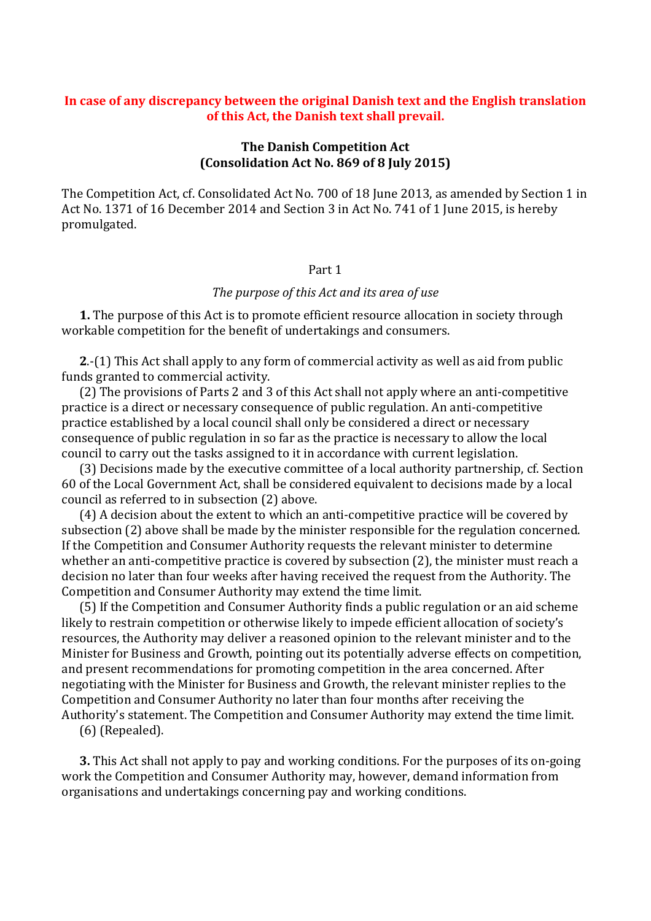# **In case of any discrepancy between the original Danish text and the English translation of this Act, the Danish text shall prevail.**

# **The Danish Competition Act (Consolidation Act No. 869 of 8 July 2015)**

The Competition Act, cf. Consolidated Act No. 700 of 18 June 2013, as amended by Section 1 in Act No. 1371 of 16 December 2014 and Section 3 in Act No. 741 of 1 June 2015, is hereby promulgated.

# Part 1

## *The purpose of this Act and its area of use*

**1.** The purpose of this Act is to promote efficient resource allocation in society through workable competition for the benefit of undertakings and consumers.

**2**.-(1) This Act shall apply to any form of commercial activity as well as aid from public funds granted to commercial activity.

(2) The provisions of Parts 2 and 3 of this Act shall not apply where an anti-competitive practice is a direct or necessary consequence of public regulation. An anti-competitive practice established by a local council shall only be considered a direct or necessary consequence of public regulation in so far as the practice is necessary to allow the local council to carry out the tasks assigned to it in accordance with current legislation.

(3) Decisions made by the executive committee of a local authority partnership, cf. Section 60 of the Local Government Act, shall be considered equivalent to decisions made by a local council as referred to in subsection (2) above.

(4) A decision about the extent to which an anti-competitive practice will be covered by subsection (2) above shall be made by the minister responsible for the regulation concerned. If the Competition and Consumer Authority requests the relevant minister to determine whether an anti-competitive practice is covered by subsection (2), the minister must reach a decision no later than four weeks after having received the request from the Authority. The Competition and Consumer Authority may extend the time limit.

(5) If the Competition and Consumer Authority finds a public regulation or an aid scheme likely to restrain competition or otherwise likely to impede efficient allocation of society's resources, the Authority may deliver a reasoned opinion to the relevant minister and to the Minister for Business and Growth, pointing out its potentially adverse effects on competition, and present recommendations for promoting competition in the area concerned. After negotiating with the Minister for Business and Growth, the relevant minister replies to the Competition and Consumer Authority no later than four months after receiving the Authority's statement. The Competition and Consumer Authority may extend the time limit.

(6) (Repealed).

**3.** This Act shall not apply to pay and working conditions. For the purposes of its on-going work the Competition and Consumer Authority may, however, demand information from organisations and undertakings concerning pay and working conditions.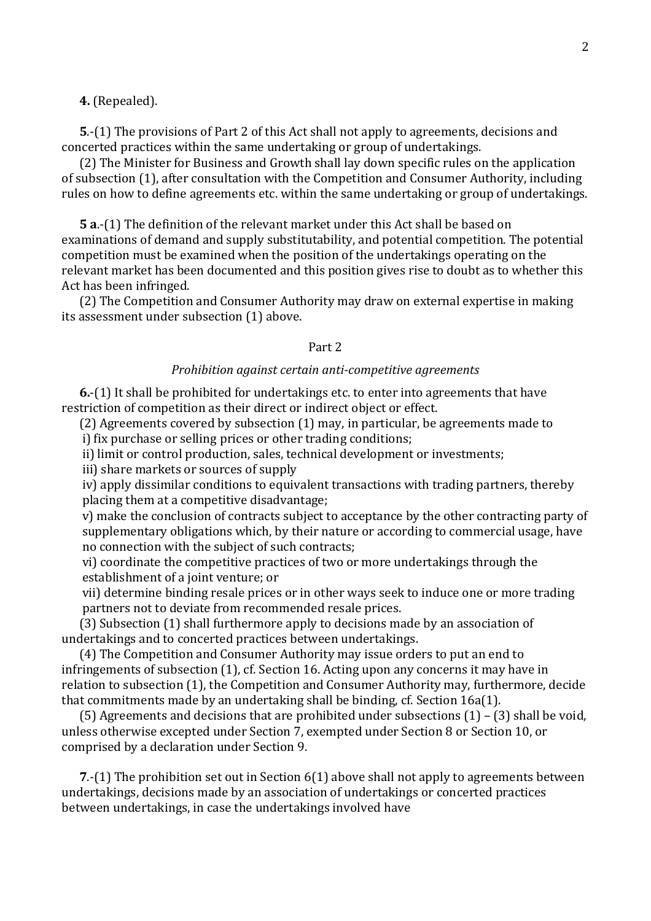**4.** (Repealed).

**5**.-(1) The provisions of Part 2 of this Act shall not apply to agreements, decisions and concerted practices within the same undertaking or group of undertakings.

(2) The Minister for Business and Growth shall lay down specific rules on the application of subsection (1), after consultation with the Competition and Consumer Authority, including rules on how to define agreements etc. within the same undertaking or group of undertakings.

**5 a**.-(1) The definition of the relevant market under this Act shall be based on examinations of demand and supply substitutability, and potential competition. The potential competition must be examined when the position of the undertakings operating on the relevant market has been documented and this position gives rise to doubt as to whether this Act has been infringed.

(2) The Competition and Consumer Authority may draw on external expertise in making its assessment under subsection (1) above.

## Part 2

## *Prohibition against certain anti-competitive agreements*

**6.**-(1) It shall be prohibited for undertakings etc. to enter into agreements that have restriction of competition as their direct or indirect object or effect.

(2) Agreements covered by subsection (1) may, in particular, be agreements made to i) fix purchase or selling prices or other trading conditions;

ii) limit or control production, sales, technical development or investments;

iii) share markets or sources of supply

iv) apply dissimilar conditions to equivalent transactions with trading partners, thereby placing them at a competitive disadvantage;

v) make the conclusion of contracts subject to acceptance by the other contracting party of supplementary obligations which, by their nature or according to commercial usage, have no connection with the subject of such contracts;

vi) coordinate the competitive practices of two or more undertakings through the establishment of a joint venture; or

vii) determine binding resale prices or in other ways seek to induce one or more trading partners not to deviate from recommended resale prices.

(3) Subsection (1) shall furthermore apply to decisions made by an association of undertakings and to concerted practices between undertakings.

(4) The Competition and Consumer Authority may issue orders to put an end to infringements of subsection (1), cf. Section 16. Acting upon any concerns it may have in relation to subsection (1), the Competition and Consumer Authority may, furthermore, decide that commitments made by an undertaking shall be binding, cf. Section 16a(1).

(5) Agreements and decisions that are prohibited under subsections (1) – (3) shall be void, unless otherwise excepted under Section 7, exempted under Section 8 or Section 10, or comprised by a declaration under Section 9.

**7**.-(1) The prohibition set out in Section 6(1) above shall not apply to agreements between undertakings, decisions made by an association of undertakings or concerted practices between undertakings, in case the undertakings involved have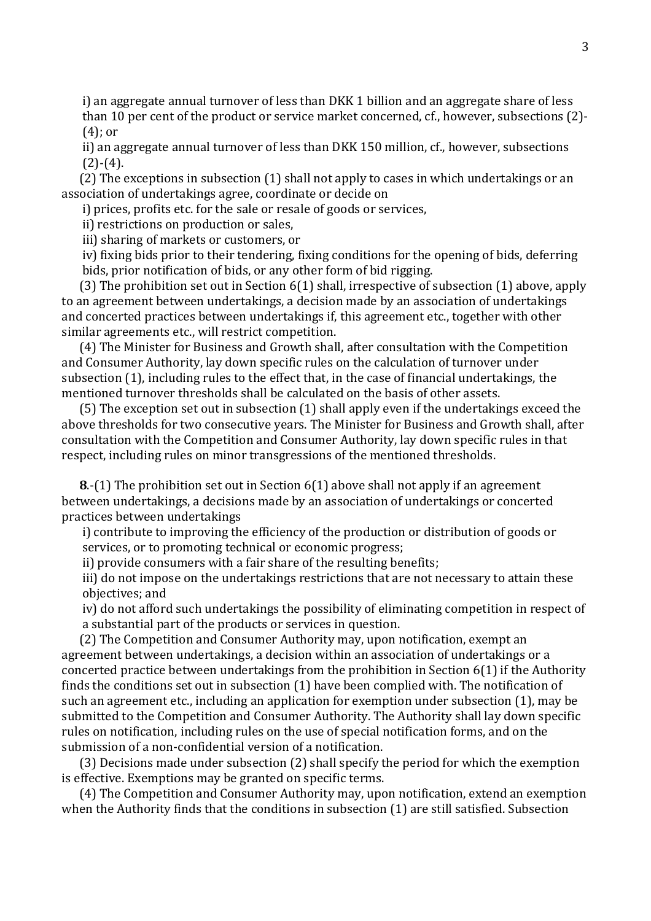i) an aggregate annual turnover of less than DKK 1 billion and an aggregate share of less than 10 per cent of the product or service market concerned, cf., however, subsections (2)- (4); or

ii) an aggregate annual turnover of less than DKK 150 million, cf., however, subsections  $(2)-(4)$ .

(2) The exceptions in subsection (1) shall not apply to cases in which undertakings or an association of undertakings agree, coordinate or decide on

i) prices, profits etc. for the sale or resale of goods or services,

ii) restrictions on production or sales,

iii) sharing of markets or customers, or

iv) fixing bids prior to their tendering, fixing conditions for the opening of bids, deferring bids, prior notification of bids, or any other form of bid rigging.

(3) The prohibition set out in Section 6(1) shall, irrespective of subsection (1) above, apply to an agreement between undertakings, a decision made by an association of undertakings and concerted practices between undertakings if, this agreement etc., together with other similar agreements etc., will restrict competition.

(4) The Minister for Business and Growth shall, after consultation with the Competition and Consumer Authority, lay down specific rules on the calculation of turnover under subsection (1), including rules to the effect that, in the case of financial undertakings, the mentioned turnover thresholds shall be calculated on the basis of other assets.

(5) The exception set out in subsection (1) shall apply even if the undertakings exceed the above thresholds for two consecutive years. The Minister for Business and Growth shall, after consultation with the Competition and Consumer Authority, lay down specific rules in that respect, including rules on minor transgressions of the mentioned thresholds.

**8**.-(1) The prohibition set out in Section 6(1) above shall not apply if an agreement between undertakings, a decisions made by an association of undertakings or concerted practices between undertakings

i) contribute to improving the efficiency of the production or distribution of goods or services, or to promoting technical or economic progress;

ii) provide consumers with a fair share of the resulting benefits;

iii) do not impose on the undertakings restrictions that are not necessary to attain these objectives; and

iv) do not afford such undertakings the possibility of eliminating competition in respect of a substantial part of the products or services in question.

(2) The Competition and Consumer Authority may, upon notification, exempt an agreement between undertakings, a decision within an association of undertakings or a concerted practice between undertakings from the prohibition in Section 6(1) if the Authority finds the conditions set out in subsection (1) have been complied with. The notification of such an agreement etc., including an application for exemption under subsection (1), may be submitted to the Competition and Consumer Authority. The Authority shall lay down specific rules on notification, including rules on the use of special notification forms, and on the submission of a non-confidential version of a notification.

(3) Decisions made under subsection (2) shall specify the period for which the exemption is effective. Exemptions may be granted on specific terms.

(4) The Competition and Consumer Authority may, upon notification, extend an exemption when the Authority finds that the conditions in subsection (1) are still satisfied. Subsection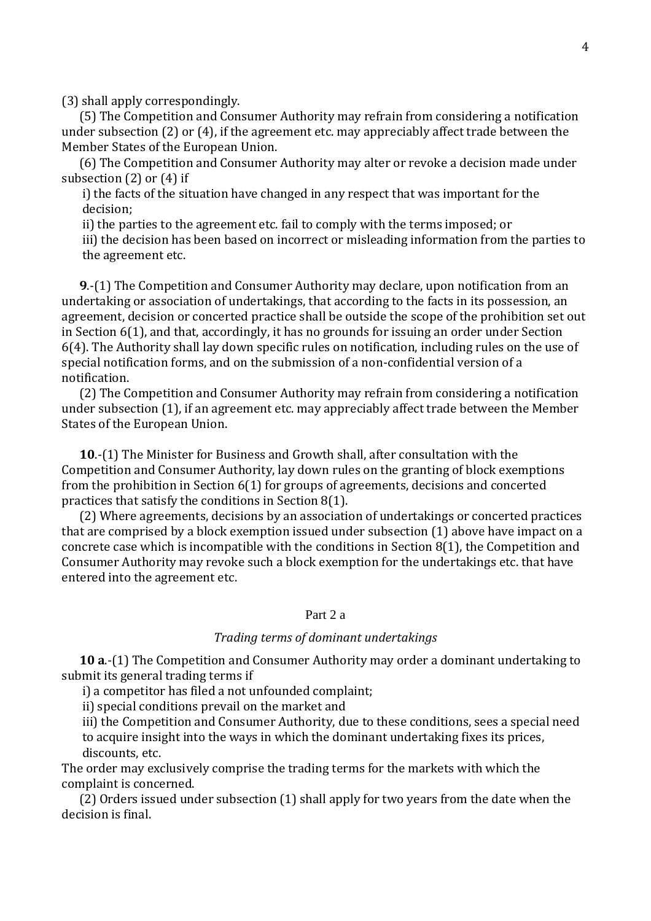(3) shall apply correspondingly.

(5) The Competition and Consumer Authority may refrain from considering a notification under subsection (2) or (4), if the agreement etc. may appreciably affect trade between the Member States of the European Union.

(6) The Competition and Consumer Authority may alter or revoke a decision made under subsection (2) or (4) if

i) the facts of the situation have changed in any respect that was important for the decision;

ii) the parties to the agreement etc. fail to comply with the terms imposed; or

iii) the decision has been based on incorrect or misleading information from the parties to the agreement etc.

**9**.-(1) The Competition and Consumer Authority may declare, upon notification from an undertaking or association of undertakings, that according to the facts in its possession, an agreement, decision or concerted practice shall be outside the scope of the prohibition set out in Section 6(1), and that, accordingly, it has no grounds for issuing an order under Section 6(4). The Authority shall lay down specific rules on notification, including rules on the use of special notification forms, and on the submission of a non-confidential version of a notification.

(2) The Competition and Consumer Authority may refrain from considering a notification under subsection (1), if an agreement etc. may appreciably affect trade between the Member States of the European Union.

**10**.-(1) The Minister for Business and Growth shall, after consultation with the Competition and Consumer Authority, lay down rules on the granting of block exemptions from the prohibition in Section 6(1) for groups of agreements, decisions and concerted practices that satisfy the conditions in Section 8(1).

(2) Where agreements, decisions by an association of undertakings or concerted practices that are comprised by a block exemption issued under subsection (1) above have impact on a concrete case which is incompatible with the conditions in Section 8(1), the Competition and Consumer Authority may revoke such a block exemption for the undertakings etc. that have entered into the agreement etc.

# Part 2 a

## *Trading terms of dominant undertakings*

**10 a**.-(1) The Competition and Consumer Authority may order a dominant undertaking to submit its general trading terms if

i) a competitor has filed a not unfounded complaint;

ii) special conditions prevail on the market and

iii) the Competition and Consumer Authority, due to these conditions, sees a special need to acquire insight into the ways in which the dominant undertaking fixes its prices, discounts, etc.

The order may exclusively comprise the trading terms for the markets with which the complaint is concerned.

(2) Orders issued under subsection (1) shall apply for two years from the date when the decision is final.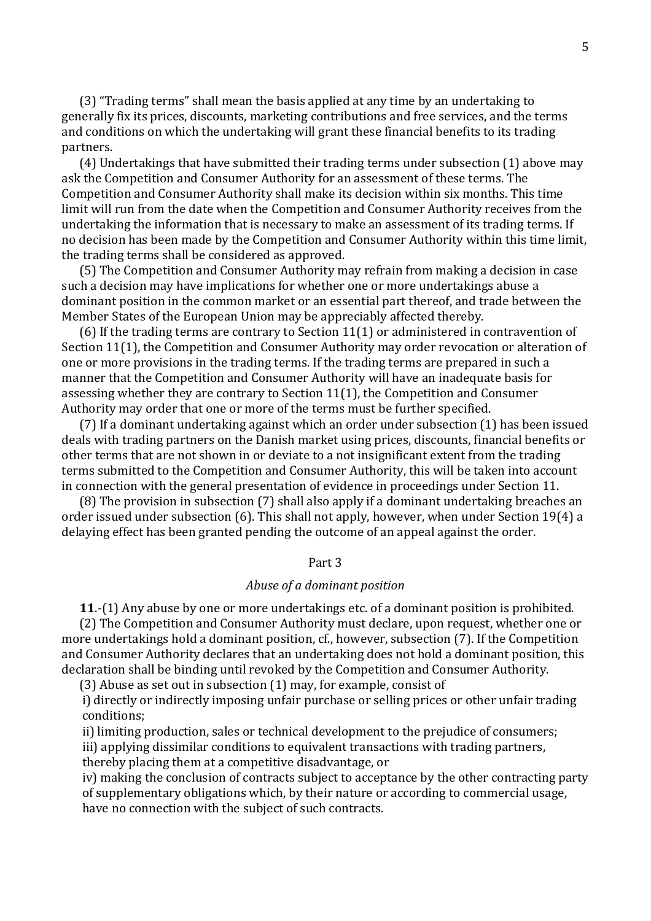(3) "Trading terms" shall mean the basis applied at any time by an undertaking to generally fix its prices, discounts, marketing contributions and free services, and the terms and conditions on which the undertaking will grant these financial benefits to its trading partners.

(4) Undertakings that have submitted their trading terms under subsection (1) above may ask the Competition and Consumer Authority for an assessment of these terms. The Competition and Consumer Authority shall make its decision within six months. This time limit will run from the date when the Competition and Consumer Authority receives from the undertaking the information that is necessary to make an assessment of its trading terms. If no decision has been made by the Competition and Consumer Authority within this time limit, the trading terms shall be considered as approved.

(5) The Competition and Consumer Authority may refrain from making a decision in case such a decision may have implications for whether one or more undertakings abuse a dominant position in the common market or an essential part thereof, and trade between the Member States of the European Union may be appreciably affected thereby.

(6) If the trading terms are contrary to Section 11(1) or administered in contravention of Section 11(1), the Competition and Consumer Authority may order revocation or alteration of one or more provisions in the trading terms. If the trading terms are prepared in such a manner that the Competition and Consumer Authority will have an inadequate basis for assessing whether they are contrary to Section 11(1), the Competition and Consumer Authority may order that one or more of the terms must be further specified.

(7) If a dominant undertaking against which an order under subsection (1) has been issued deals with trading partners on the Danish market using prices, discounts, financial benefits or other terms that are not shown in or deviate to a not insignificant extent from the trading terms submitted to the Competition and Consumer Authority, this will be taken into account in connection with the general presentation of evidence in proceedings under Section 11.

(8) The provision in subsection (7) shall also apply if a dominant undertaking breaches an order issued under subsection (6). This shall not apply, however, when under Section 19(4) a delaying effect has been granted pending the outcome of an appeal against the order.

# Part 3

# *Abuse of a dominant position*

**11**.-(1) Any abuse by one or more undertakings etc. of a dominant position is prohibited.

(2) The Competition and Consumer Authority must declare, upon request, whether one or more undertakings hold a dominant position, cf., however, subsection (7). If the Competition and Consumer Authority declares that an undertaking does not hold a dominant position, this declaration shall be binding until revoked by the Competition and Consumer Authority.

(3) Abuse as set out in subsection (1) may, for example, consist of

i) directly or indirectly imposing unfair purchase or selling prices or other unfair trading conditions;

ii) limiting production, sales or technical development to the prejudice of consumers;

iii) applying dissimilar conditions to equivalent transactions with trading partners,

thereby placing them at a competitive disadvantage, or

iv) making the conclusion of contracts subject to acceptance by the other contracting party of supplementary obligations which, by their nature or according to commercial usage, have no connection with the subject of such contracts.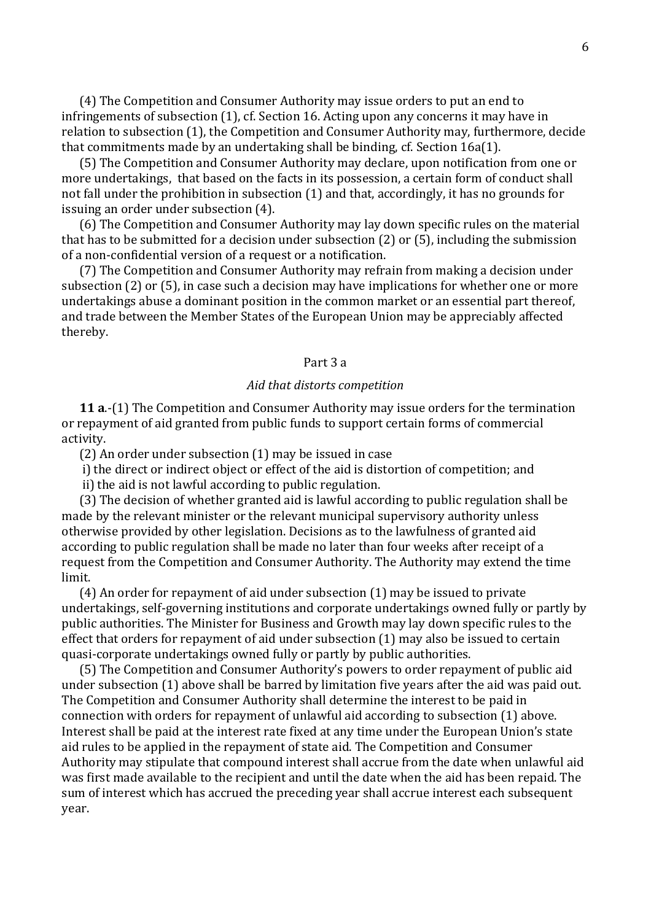(4) The Competition and Consumer Authority may issue orders to put an end to infringements of subsection (1), cf. Section 16. Acting upon any concerns it may have in relation to subsection (1), the Competition and Consumer Authority may, furthermore, decide that commitments made by an undertaking shall be binding, cf. Section 16a(1).

(5) The Competition and Consumer Authority may declare, upon notification from one or more undertakings, that based on the facts in its possession, a certain form of conduct shall not fall under the prohibition in subsection (1) and that, accordingly, it has no grounds for issuing an order under subsection (4).

(6) The Competition and Consumer Authority may lay down specific rules on the material that has to be submitted for a decision under subsection (2) or (5), including the submission of a non-confidential version of a request or a notification.

(7) The Competition and Consumer Authority may refrain from making a decision under subsection (2) or (5), in case such a decision may have implications for whether one or more undertakings abuse a dominant position in the common market or an essential part thereof, and trade between the Member States of the European Union may be appreciably affected thereby.

#### Part 3 a

### *Aid that distorts competition*

**11 a**.-(1) The Competition and Consumer Authority may issue orders for the termination or repayment of aid granted from public funds to support certain forms of commercial activity.

(2) An order under subsection (1) may be issued in case

i) the direct or indirect object or effect of the aid is distortion of competition; and

ii) the aid is not lawful according to public regulation.

(3) The decision of whether granted aid is lawful according to public regulation shall be made by the relevant minister or the relevant municipal supervisory authority unless otherwise provided by other legislation. Decisions as to the lawfulness of granted aid according to public regulation shall be made no later than four weeks after receipt of a request from the Competition and Consumer Authority. The Authority may extend the time limit.

(4) An order for repayment of aid under subsection (1) may be issued to private undertakings, self-governing institutions and corporate undertakings owned fully or partly by public authorities. The Minister for Business and Growth may lay down specific rules to the effect that orders for repayment of aid under subsection (1) may also be issued to certain quasi-corporate undertakings owned fully or partly by public authorities.

(5) The Competition and Consumer Authority's powers to order repayment of public aid under subsection (1) above shall be barred by limitation five years after the aid was paid out. The Competition and Consumer Authority shall determine the interest to be paid in connection with orders for repayment of unlawful aid according to subsection (1) above. Interest shall be paid at the interest rate fixed at any time under the European Union's state aid rules to be applied in the repayment of state aid. The Competition and Consumer Authority may stipulate that compound interest shall accrue from the date when unlawful aid was first made available to the recipient and until the date when the aid has been repaid. The sum of interest which has accrued the preceding year shall accrue interest each subsequent year.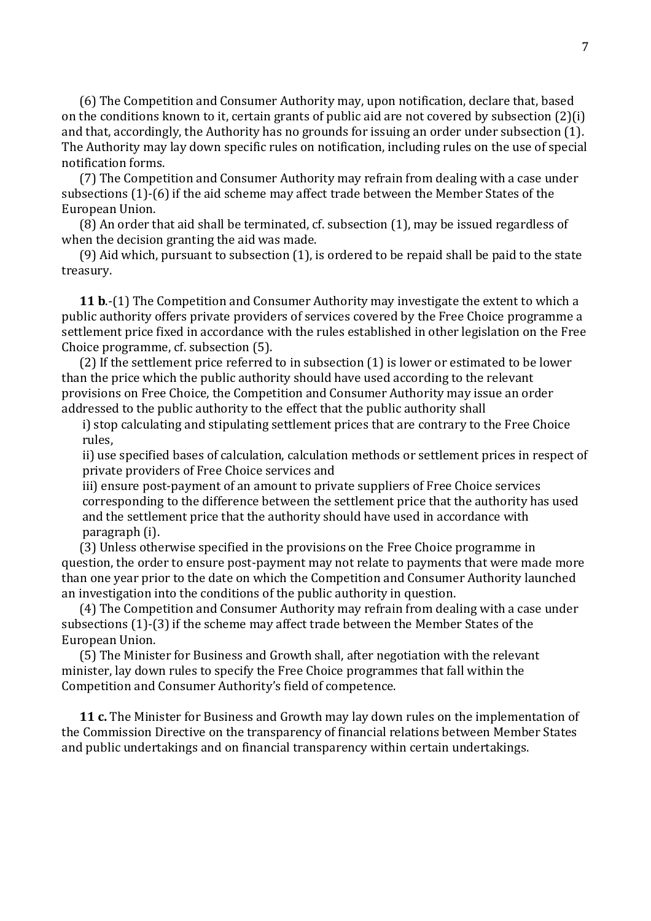(6) The Competition and Consumer Authority may, upon notification, declare that, based on the conditions known to it, certain grants of public aid are not covered by subsection (2)(i) and that, accordingly, the Authority has no grounds for issuing an order under subsection (1). The Authority may lay down specific rules on notification, including rules on the use of special notification forms.

(7) The Competition and Consumer Authority may refrain from dealing with a case under subsections (1)-(6) if the aid scheme may affect trade between the Member States of the European Union.

(8) An order that aid shall be terminated, cf. subsection (1), may be issued regardless of when the decision granting the aid was made.

(9) Aid which, pursuant to subsection (1), is ordered to be repaid shall be paid to the state treasury.

**11 b**.-(1) The Competition and Consumer Authority may investigate the extent to which a public authority offers private providers of services covered by the Free Choice programme a settlement price fixed in accordance with the rules established in other legislation on the Free Choice programme, cf. subsection (5).

(2) If the settlement price referred to in subsection (1) is lower or estimated to be lower than the price which the public authority should have used according to the relevant provisions on Free Choice, the Competition and Consumer Authority may issue an order addressed to the public authority to the effect that the public authority shall

i) stop calculating and stipulating settlement prices that are contrary to the Free Choice rules,

ii) use specified bases of calculation, calculation methods or settlement prices in respect of private providers of Free Choice services and

iii) ensure post-payment of an amount to private suppliers of Free Choice services corresponding to the difference between the settlement price that the authority has used and the settlement price that the authority should have used in accordance with paragraph (i).

(3) Unless otherwise specified in the provisions on the Free Choice programme in question, the order to ensure post-payment may not relate to payments that were made more than one year prior to the date on which the Competition and Consumer Authority launched an investigation into the conditions of the public authority in question.

(4) The Competition and Consumer Authority may refrain from dealing with a case under subsections (1)-(3) if the scheme may affect trade between the Member States of the European Union.

(5) The Minister for Business and Growth shall, after negotiation with the relevant minister, lay down rules to specify the Free Choice programmes that fall within the Competition and Consumer Authority's field of competence.

**11 c.** The Minister for Business and Growth may lay down rules on the implementation of the Commission Directive on the transparency of financial relations between Member States and public undertakings and on financial transparency within certain undertakings.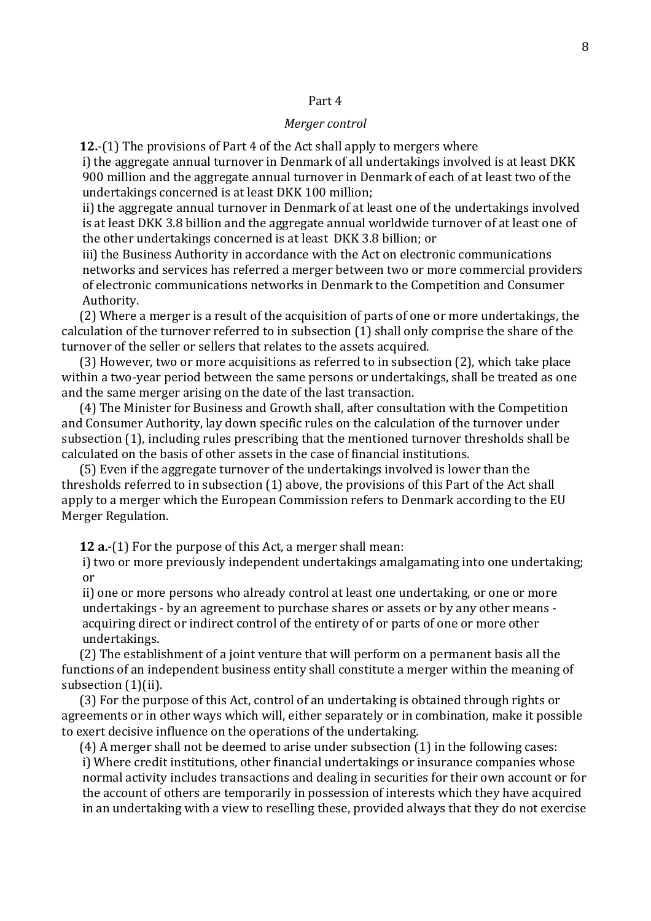## Part 4

### *Merger control*

**12.**-(1) The provisions of Part 4 of the Act shall apply to mergers where

i) the aggregate annual turnover in Denmark of all undertakings involved is at least DKK 900 million and the aggregate annual turnover in Denmark of each of at least two of the undertakings concerned is at least DKK 100 million;

ii) the aggregate annual turnover in Denmark of at least one of the undertakings involved is at least DKK 3.8 billion and the aggregate annual worldwide turnover of at least one of the other undertakings concerned is at least DKK 3.8 billion; or

iii) the Business Authority in accordance with the Act on electronic communications networks and services has referred a merger between two or more commercial providers of electronic communications networks in Denmark to the Competition and Consumer Authority.

(2) Where a merger is a result of the acquisition of parts of one or more undertakings, the calculation of the turnover referred to in subsection (1) shall only comprise the share of the turnover of the seller or sellers that relates to the assets acquired.

(3) However, two or more acquisitions as referred to in subsection (2), which take place within a two-year period between the same persons or undertakings, shall be treated as one and the same merger arising on the date of the last transaction.

(4) The Minister for Business and Growth shall, after consultation with the Competition and Consumer Authority, lay down specific rules on the calculation of the turnover under subsection (1), including rules prescribing that the mentioned turnover thresholds shall be calculated on the basis of other assets in the case of financial institutions.

(5) Even if the aggregate turnover of the undertakings involved is lower than the thresholds referred to in subsection (1) above, the provisions of this Part of the Act shall apply to a merger which the European Commission refers to Denmark according to the EU Merger Regulation.

**12 a.**-(1) For the purpose of this Act, a merger shall mean:

i) two or more previously independent undertakings amalgamating into one undertaking; or

ii) one or more persons who already control at least one undertaking, or one or more undertakings - by an agreement to purchase shares or assets or by any other means acquiring direct or indirect control of the entirety of or parts of one or more other undertakings.

(2) The establishment of a joint venture that will perform on a permanent basis all the functions of an independent business entity shall constitute a merger within the meaning of subsection (1)(ii).

(3) For the purpose of this Act, control of an undertaking is obtained through rights or agreements or in other ways which will, either separately or in combination, make it possible to exert decisive influence on the operations of the undertaking.

(4) A merger shall not be deemed to arise under subsection (1) in the following cases:

i) Where credit institutions, other financial undertakings or insurance companies whose normal activity includes transactions and dealing in securities for their own account or for the account of others are temporarily in possession of interests which they have acquired in an undertaking with a view to reselling these, provided always that they do not exercise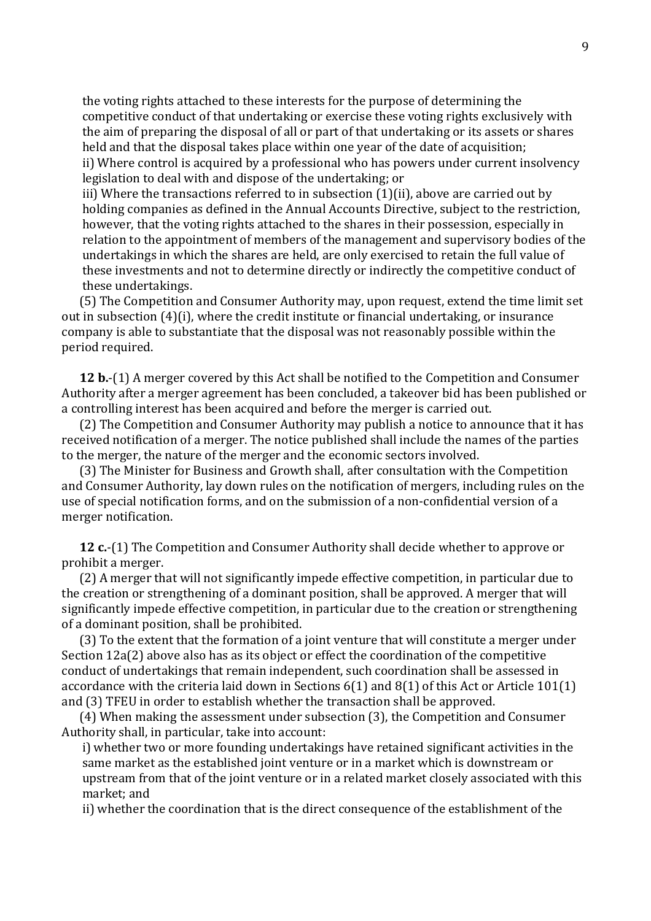the voting rights attached to these interests for the purpose of determining the competitive conduct of that undertaking or exercise these voting rights exclusively with the aim of preparing the disposal of all or part of that undertaking or its assets or shares held and that the disposal takes place within one year of the date of acquisition; ii) Where control is acquired by a professional who has powers under current insolvency legislation to deal with and dispose of the undertaking; or

iii) Where the transactions referred to in subsection (1)(ii), above are carried out by holding companies as defined in the Annual Accounts Directive, subject to the restriction, however, that the voting rights attached to the shares in their possession, especially in relation to the appointment of members of the management and supervisory bodies of the undertakings in which the shares are held, are only exercised to retain the full value of these investments and not to determine directly or indirectly the competitive conduct of these undertakings.

(5) The Competition and Consumer Authority may, upon request, extend the time limit set out in subsection (4)(i), where the credit institute or financial undertaking, or insurance company is able to substantiate that the disposal was not reasonably possible within the period required.

**12 b.**-(1) A merger covered by this Act shall be notified to the Competition and Consumer Authority after a merger agreement has been concluded, a takeover bid has been published or a controlling interest has been acquired and before the merger is carried out.

(2) The Competition and Consumer Authority may publish a notice to announce that it has received notification of a merger. The notice published shall include the names of the parties to the merger, the nature of the merger and the economic sectors involved.

(3) The Minister for Business and Growth shall, after consultation with the Competition and Consumer Authority, lay down rules on the notification of mergers, including rules on the use of special notification forms, and on the submission of a non-confidential version of a merger notification.

**12 c.**-(1) The Competition and Consumer Authority shall decide whether to approve or prohibit a merger.

(2) A merger that will not significantly impede effective competition, in particular due to the creation or strengthening of a dominant position, shall be approved. A merger that will significantly impede effective competition, in particular due to the creation or strengthening of a dominant position, shall be prohibited.

(3) To the extent that the formation of a joint venture that will constitute a merger under Section 12a(2) above also has as its object or effect the coordination of the competitive conduct of undertakings that remain independent, such coordination shall be assessed in accordance with the criteria laid down in Sections 6(1) and 8(1) of this Act or Article 101(1) and (3) TFEU in order to establish whether the transaction shall be approved.

(4) When making the assessment under subsection (3), the Competition and Consumer Authority shall, in particular, take into account:

i) whether two or more founding undertakings have retained significant activities in the same market as the established joint venture or in a market which is downstream or upstream from that of the joint venture or in a related market closely associated with this market; and

ii) whether the coordination that is the direct consequence of the establishment of the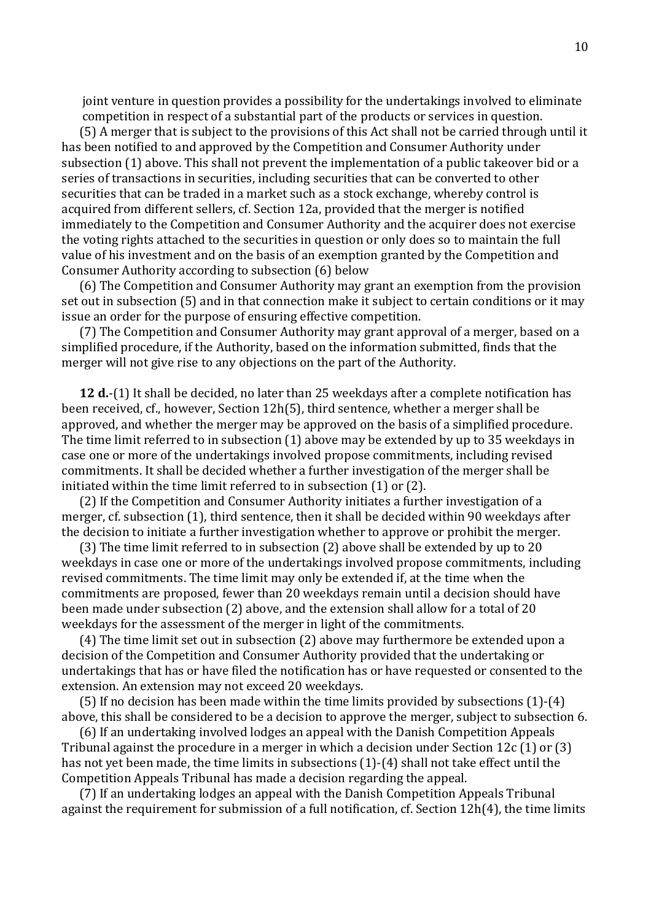joint venture in question provides a possibility for the undertakings involved to eliminate competition in respect of a substantial part of the products or services in question.

(5) A merger that is subject to the provisions of this Act shall not be carried through until it has been notified to and approved by the Competition and Consumer Authority under subsection (1) above. This shall not prevent the implementation of a public takeover bid or a series of transactions in securities, including securities that can be converted to other securities that can be traded in a market such as a stock exchange, whereby control is acquired from different sellers, cf. Section 12a, provided that the merger is notified immediately to the Competition and Consumer Authority and the acquirer does not exercise the voting rights attached to the securities in question or only does so to maintain the full value of his investment and on the basis of an exemption granted by the Competition and Consumer Authority according to subsection (6) below

(6) The Competition and Consumer Authority may grant an exemption from the provision set out in subsection (5) and in that connection make it subject to certain conditions or it may issue an order for the purpose of ensuring effective competition.

(7) The Competition and Consumer Authority may grant approval of a merger, based on a simplified procedure, if the Authority, based on the information submitted, finds that the merger will not give rise to any objections on the part of the Authority.

**12 d.**-(1) It shall be decided, no later than 25 weekdays after a complete notification has been received, cf., however, Section 12h(5), third sentence, whether a merger shall be approved, and whether the merger may be approved on the basis of a simplified procedure. The time limit referred to in subsection (1) above may be extended by up to 35 weekdays in case one or more of the undertakings involved propose commitments, including revised commitments. It shall be decided whether a further investigation of the merger shall be initiated within the time limit referred to in subsection (1) or (2).

(2) If the Competition and Consumer Authority initiates a further investigation of a merger, cf. subsection (1), third sentence, then it shall be decided within 90 weekdays after the decision to initiate a further investigation whether to approve or prohibit the merger.

(3) The time limit referred to in subsection (2) above shall be extended by up to 20 weekdays in case one or more of the undertakings involved propose commitments, including revised commitments. The time limit may only be extended if, at the time when the commitments are proposed, fewer than 20 weekdays remain until a decision should have been made under subsection (2) above, and the extension shall allow for a total of 20 weekdays for the assessment of the merger in light of the commitments.

(4) The time limit set out in subsection (2) above may furthermore be extended upon a decision of the Competition and Consumer Authority provided that the undertaking or undertakings that has or have filed the notification has or have requested or consented to the extension. An extension may not exceed 20 weekdays.

(5) If no decision has been made within the time limits provided by subsections (1)-(4) above, this shall be considered to be a decision to approve the merger, subject to subsection 6.

(6) If an undertaking involved lodges an appeal with the Danish Competition Appeals Tribunal against the procedure in a merger in which a decision under Section 12c (1) or (3) has not yet been made, the time limits in subsections (1)-(4) shall not take effect until the Competition Appeals Tribunal has made a decision regarding the appeal.

(7) If an undertaking lodges an appeal with the Danish Competition Appeals Tribunal against the requirement for submission of a full notification, cf. Section 12h(4), the time limits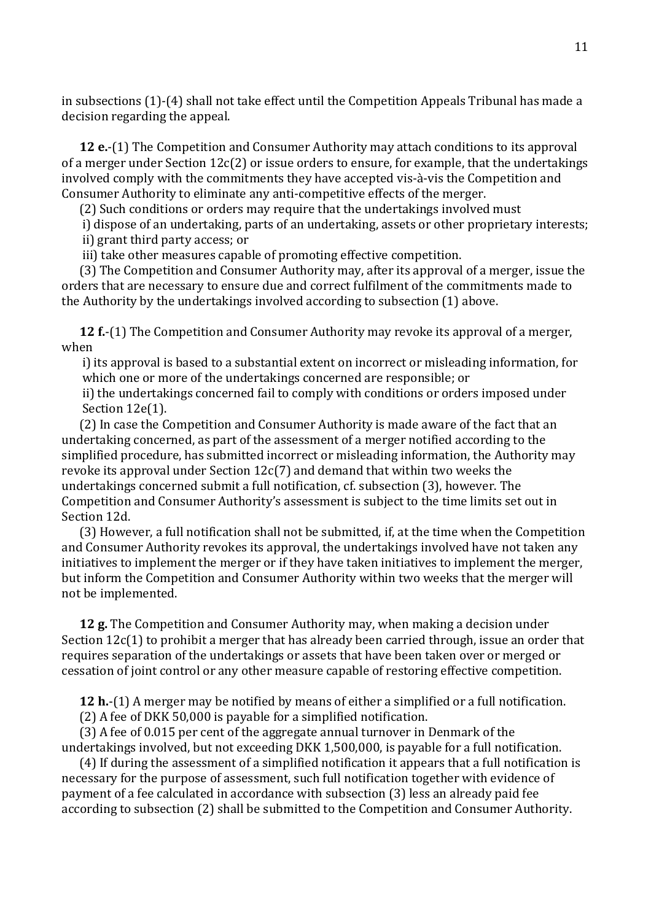in subsections (1)-(4) shall not take effect until the Competition Appeals Tribunal has made a decision regarding the appeal.

**12 e.**-(1) The Competition and Consumer Authority may attach conditions to its approval of a merger under Section 12c(2) or issue orders to ensure, for example, that the undertakings involved comply with the commitments they have accepted vis-à-vis the Competition and Consumer Authority to eliminate any anti-competitive effects of the merger.

(2) Such conditions or orders may require that the undertakings involved must

i) dispose of an undertaking, parts of an undertaking, assets or other proprietary interests; ii) grant third party access; or

iii) take other measures capable of promoting effective competition.

(3) The Competition and Consumer Authority may, after its approval of a merger, issue the orders that are necessary to ensure due and correct fulfilment of the commitments made to the Authority by the undertakings involved according to subsection (1) above.

**12 f.**-(1) The Competition and Consumer Authority may revoke its approval of a merger, when

i) its approval is based to a substantial extent on incorrect or misleading information, for which one or more of the undertakings concerned are responsible; or

ii) the undertakings concerned fail to comply with conditions or orders imposed under Section 12e(1).

(2) In case the Competition and Consumer Authority is made aware of the fact that an undertaking concerned, as part of the assessment of a merger notified according to the simplified procedure, has submitted incorrect or misleading information, the Authority may revoke its approval under Section 12c(7) and demand that within two weeks the undertakings concerned submit a full notification, cf. subsection (3), however. The Competition and Consumer Authority's assessment is subject to the time limits set out in Section 12d.

(3) However, a full notification shall not be submitted, if, at the time when the Competition and Consumer Authority revokes its approval, the undertakings involved have not taken any initiatives to implement the merger or if they have taken initiatives to implement the merger, but inform the Competition and Consumer Authority within two weeks that the merger will not be implemented.

**12 g.** The Competition and Consumer Authority may, when making a decision under Section 12c(1) to prohibit a merger that has already been carried through, issue an order that requires separation of the undertakings or assets that have been taken over or merged or cessation of joint control or any other measure capable of restoring effective competition.

**12 h.**-(1) A merger may be notified by means of either a simplified or a full notification.

(2) A fee of DKK 50,000 is payable for a simplified notification.

(3) A fee of 0.015 per cent of the aggregate annual turnover in Denmark of the undertakings involved, but not exceeding DKK 1,500,000, is payable for a full notification.

(4) If during the assessment of a simplified notification it appears that a full notification is necessary for the purpose of assessment, such full notification together with evidence of payment of a fee calculated in accordance with subsection (3) less an already paid fee according to subsection (2) shall be submitted to the Competition and Consumer Authority.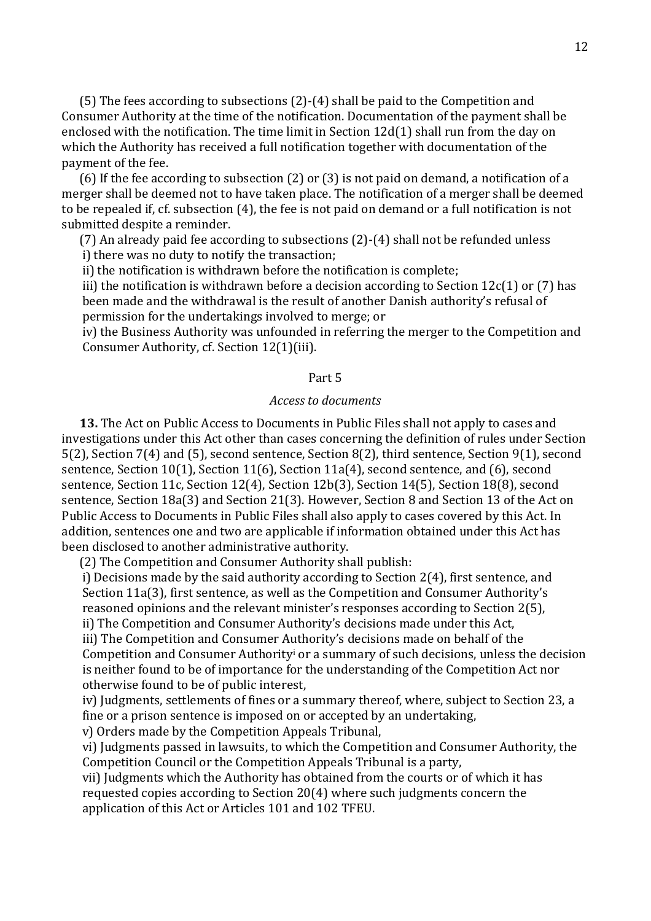(5) The fees according to subsections (2)-(4) shall be paid to the Competition and Consumer Authority at the time of the notification. Documentation of the payment shall be enclosed with the notification. The time limit in Section 12d(1) shall run from the day on which the Authority has received a full notification together with documentation of the payment of the fee.

(6) If the fee according to subsection (2) or (3) is not paid on demand, a notification of a merger shall be deemed not to have taken place. The notification of a merger shall be deemed to be repealed if, cf. subsection (4), the fee is not paid on demand or a full notification is not submitted despite a reminder.

(7) An already paid fee according to subsections (2)-(4) shall not be refunded unless i) there was no duty to notify the transaction;

ii) the notification is withdrawn before the notification is complete;

iii) the notification is withdrawn before a decision according to Section 12c(1) or (7) has been made and the withdrawal is the result of another Danish authority's refusal of permission for the undertakings involved to merge; or

iv) the Business Authority was unfounded in referring the merger to the Competition and Consumer Authority, cf. Section 12(1)(iii).

# Part 5

# *Access to documents*

**13.** The Act on Public Access to Documents in Public Files shall not apply to cases and investigations under this Act other than cases concerning the definition of rules under Section 5(2), Section 7(4) and (5), second sentence, Section 8(2), third sentence, Section 9(1), second sentence, Section 10(1), Section 11(6), Section 11a(4), second sentence, and (6), second sentence, Section 11c, Section 12(4), Section 12b(3), Section 14(5), Section 18(8), second sentence, Section 18a(3) and Section 21(3). However, Section 8 and Section 13 of the Act on Public Access to Documents in Public Files shall also apply to cases covered by this Act. In addition, sentences one and two are applicable if information obtained under this Act has been disclosed to another administrative authority.

(2) The Competition and Consumer Authority shall publish:

i) Decisions made by the said authority according to Section 2(4), first sentence, and Section 11a(3), first sentence, as well as the Competition and Consumer Authority's reasoned opinions and the relevant minister's responses according to Section 2(5), ii) The Competition and Consumer Authority's decisions made under this Act,

iii) The Competition and Consumer Authority's decisions made on behalf of the Competition and Consumer Authority<sup>i</sup> or a summary of such decisions, unless the decision is neither found to be of importance for the understanding of the Competition Act nor otherwise found to be of public interest,

iv) Judgments, settlements of fines or a summary thereof, where, subject to Section 23, a fine or a prison sentence is imposed on or accepted by an undertaking,

v) Orders made by the Competition Appeals Tribunal,

vi) Judgments passed in lawsuits, to which the Competition and Consumer Authority, the Competition Council or the Competition Appeals Tribunal is a party,

vii) Judgments which the Authority has obtained from the courts or of which it has requested copies according to Section 20(4) where such judgments concern the application of this Act or Articles 101 and 102 TFEU.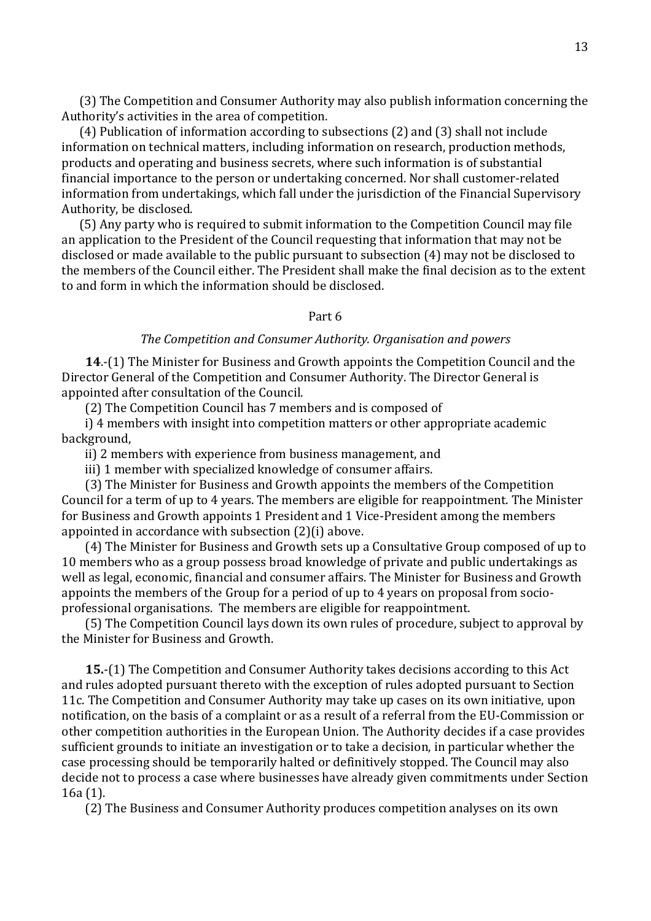(3) The Competition and Consumer Authority may also publish information concerning the Authority's activities in the area of competition.

(4) Publication of information according to subsections (2) and (3) shall not include information on technical matters, including information on research, production methods, products and operating and business secrets, where such information is of substantial financial importance to the person or undertaking concerned. Nor shall customer-related information from undertakings, which fall under the jurisdiction of the Financial Supervisory Authority, be disclosed.

(5) Any party who is required to submit information to the Competition Council may file an application to the President of the Council requesting that information that may not be disclosed or made available to the public pursuant to subsection (4) may not be disclosed to the members of the Council either. The President shall make the final decision as to the extent to and form in which the information should be disclosed.

## Part 6

### *The Competition and Consumer Authority. Organisation and powers*

**14**.-(1) The Minister for Business and Growth appoints the Competition Council and the Director General of the Competition and Consumer Authority. The Director General is appointed after consultation of the Council.

(2) The Competition Council has 7 members and is composed of

i) 4 members with insight into competition matters or other appropriate academic background,

ii) 2 members with experience from business management, and

iii) 1 member with specialized knowledge of consumer affairs.

(3) The Minister for Business and Growth appoints the members of the Competition Council for a term of up to 4 years. The members are eligible for reappointment. The Minister for Business and Growth appoints 1 President and 1 Vice-President among the members appointed in accordance with subsection (2)(i) above.

(4) The Minister for Business and Growth sets up a Consultative Group composed of up to 10 members who as a group possess broad knowledge of private and public undertakings as well as legal, economic, financial and consumer affairs. The Minister for Business and Growth appoints the members of the Group for a period of up to 4 years on proposal from socioprofessional organisations. The members are eligible for reappointment.

(5) The Competition Council lays down its own rules of procedure, subject to approval by the Minister for Business and Growth.

**15.**-(1) The Competition and Consumer Authority takes decisions according to this Act and rules adopted pursuant thereto with the exception of rules adopted pursuant to Section 11c. The Competition and Consumer Authority may take up cases on its own initiative, upon notification, on the basis of a complaint or as a result of a referral from the EU-Commission or other competition authorities in the European Union. The Authority decides if a case provides sufficient grounds to initiate an investigation or to take a decision, in particular whether the case processing should be temporarily halted or definitively stopped. The Council may also decide not to process a case where businesses have already given commitments under Section 16a (1).

(2) The Business and Consumer Authority produces competition analyses on its own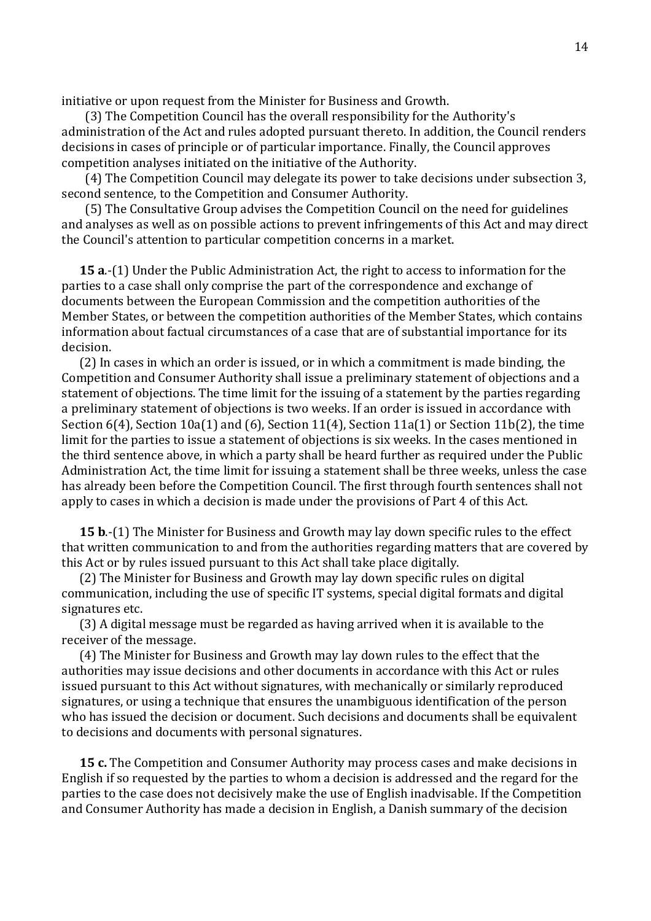initiative or upon request from the Minister for Business and Growth.

(3) The Competition Council has the overall responsibility for the Authority's administration of the Act and rules adopted pursuant thereto. In addition, the Council renders decisions in cases of principle or of particular importance. Finally, the Council approves competition analyses initiated on the initiative of the Authority.

(4) The Competition Council may delegate its power to take decisions under subsection 3, second sentence, to the Competition and Consumer Authority.

(5) The Consultative Group advises the Competition Council on the need for guidelines and analyses as well as on possible actions to prevent infringements of this Act and may direct the Council's attention to particular competition concerns in a market.

**15 a**.-(1) Under the Public Administration Act, the right to access to information for the parties to a case shall only comprise the part of the correspondence and exchange of documents between the European Commission and the competition authorities of the Member States, or between the competition authorities of the Member States, which contains information about factual circumstances of a case that are of substantial importance for its decision.

(2) In cases in which an order is issued, or in which a commitment is made binding, the Competition and Consumer Authority shall issue a preliminary statement of objections and a statement of objections. The time limit for the issuing of a statement by the parties regarding a preliminary statement of objections is two weeks. If an order is issued in accordance with Section 6(4), Section 10a(1) and (6), Section 11(4), Section 11a(1) or Section 11b(2), the time limit for the parties to issue a statement of objections is six weeks. In the cases mentioned in the third sentence above, in which a party shall be heard further as required under the Public Administration Act, the time limit for issuing a statement shall be three weeks, unless the case has already been before the Competition Council. The first through fourth sentences shall not apply to cases in which a decision is made under the provisions of Part 4 of this Act.

**15 b**.-(1) The Minister for Business and Growth may lay down specific rules to the effect that written communication to and from the authorities regarding matters that are covered by this Act or by rules issued pursuant to this Act shall take place digitally.

(2) The Minister for Business and Growth may lay down specific rules on digital communication, including the use of specific IT systems, special digital formats and digital signatures etc.

(3) A digital message must be regarded as having arrived when it is available to the receiver of the message.

(4) The Minister for Business and Growth may lay down rules to the effect that the authorities may issue decisions and other documents in accordance with this Act or rules issued pursuant to this Act without signatures, with mechanically or similarly reproduced signatures, or using a technique that ensures the unambiguous identification of the person who has issued the decision or document. Such decisions and documents shall be equivalent to decisions and documents with personal signatures.

**15 c.** The Competition and Consumer Authority may process cases and make decisions in English if so requested by the parties to whom a decision is addressed and the regard for the parties to the case does not decisively make the use of English inadvisable. If the Competition and Consumer Authority has made a decision in English, a Danish summary of the decision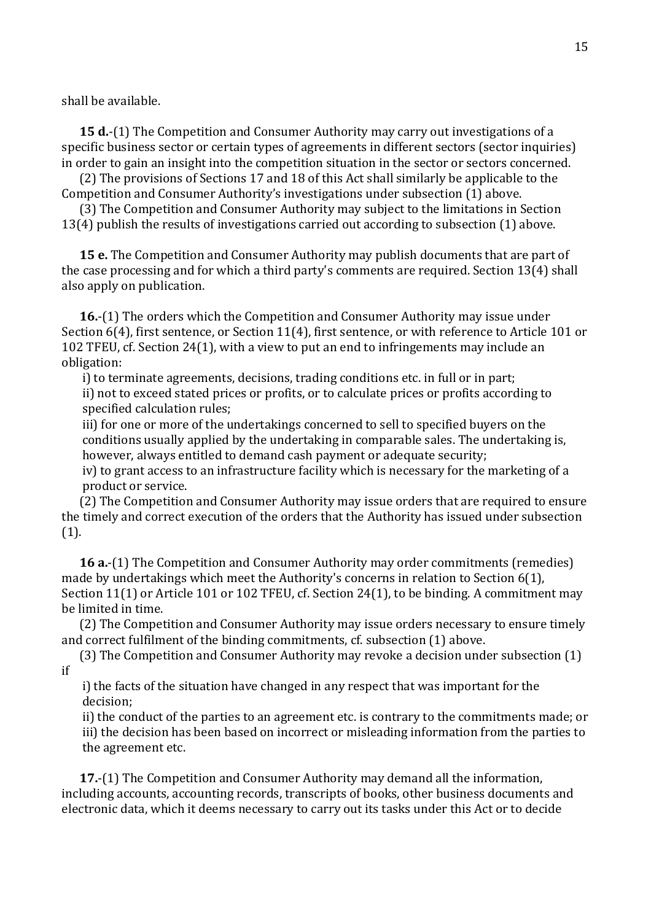shall be available.

**15 d.**-(1) The Competition and Consumer Authority may carry out investigations of a specific business sector or certain types of agreements in different sectors (sector inquiries) in order to gain an insight into the competition situation in the sector or sectors concerned.

(2) The provisions of Sections 17 and 18 of this Act shall similarly be applicable to the Competition and Consumer Authority's investigations under subsection (1) above.

(3) The Competition and Consumer Authority may subject to the limitations in Section 13(4) publish the results of investigations carried out according to subsection (1) above.

**15 e.** The Competition and Consumer Authority may publish documents that are part of the case processing and for which a third party's comments are required. Section 13(4) shall also apply on publication.

**16.**-(1) The orders which the Competition and Consumer Authority may issue under Section 6(4), first sentence, or Section 11(4), first sentence, or with reference to Article 101 or 102 TFEU, cf. Section 24(1), with a view to put an end to infringements may include an obligation:

i) to terminate agreements, decisions, trading conditions etc. in full or in part; ii) not to exceed stated prices or profits, or to calculate prices or profits according to specified calculation rules;

iii) for one or more of the undertakings concerned to sell to specified buyers on the conditions usually applied by the undertaking in comparable sales. The undertaking is, however, always entitled to demand cash payment or adequate security;

iv) to grant access to an infrastructure facility which is necessary for the marketing of a product or service.

(2) The Competition and Consumer Authority may issue orders that are required to ensure the timely and correct execution of the orders that the Authority has issued under subsection (1).

**16 a.**-(1) The Competition and Consumer Authority may order commitments (remedies) made by undertakings which meet the Authority's concerns in relation to Section 6(1), Section 11(1) or Article 101 or 102 TFEU, cf. Section 24(1), to be binding. A commitment may be limited in time.

(2) The Competition and Consumer Authority may issue orders necessary to ensure timely and correct fulfilment of the binding commitments, cf. subsection (1) above.

(3) The Competition and Consumer Authority may revoke a decision under subsection (1) if

i) the facts of the situation have changed in any respect that was important for the decision;

ii) the conduct of the parties to an agreement etc. is contrary to the commitments made; or iii) the decision has been based on incorrect or misleading information from the parties to the agreement etc.

**17.**-(1) The Competition and Consumer Authority may demand all the information, including accounts, accounting records, transcripts of books, other business documents and electronic data, which it deems necessary to carry out its tasks under this Act or to decide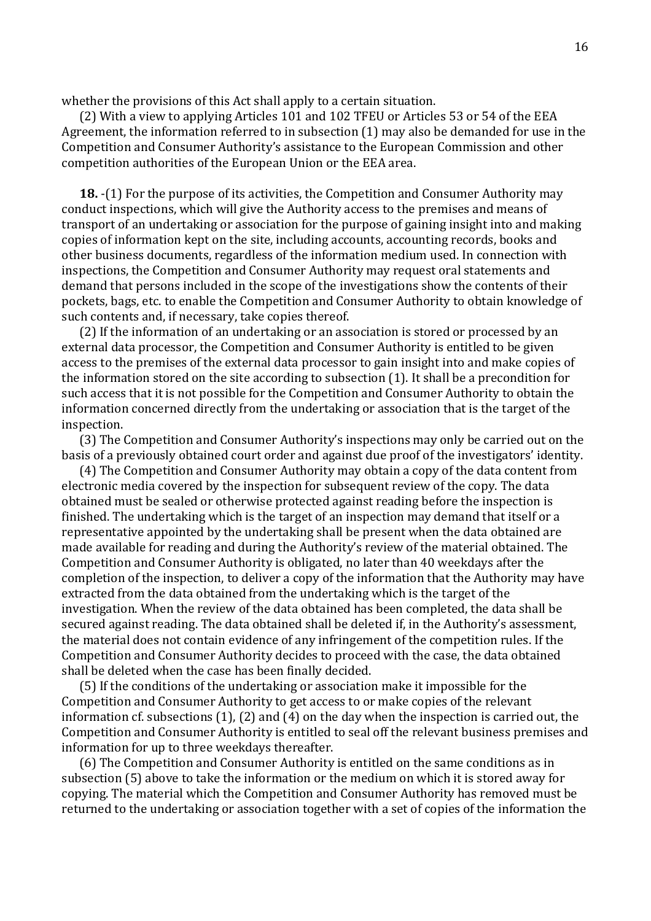whether the provisions of this Act shall apply to a certain situation.

(2) With a view to applying Articles 101 and 102 TFEU or Articles 53 or 54 of the EEA Agreement, the information referred to in subsection (1) may also be demanded for use in the Competition and Consumer Authority's assistance to the European Commission and other competition authorities of the European Union or the EEA area.

**18.** -(1) For the purpose of its activities, the Competition and Consumer Authority may conduct inspections, which will give the Authority access to the premises and means of transport of an undertaking or association for the purpose of gaining insight into and making copies of information kept on the site, including accounts, accounting records, books and other business documents, regardless of the information medium used. In connection with inspections, the Competition and Consumer Authority may request oral statements and demand that persons included in the scope of the investigations show the contents of their pockets, bags, etc. to enable the Competition and Consumer Authority to obtain knowledge of such contents and, if necessary, take copies thereof.

(2) If the information of an undertaking or an association is stored or processed by an external data processor, the Competition and Consumer Authority is entitled to be given access to the premises of the external data processor to gain insight into and make copies of the information stored on the site according to subsection (1). It shall be a precondition for such access that it is not possible for the Competition and Consumer Authority to obtain the information concerned directly from the undertaking or association that is the target of the inspection.

(3) The Competition and Consumer Authority's inspections may only be carried out on the basis of a previously obtained court order and against due proof of the investigators' identity.

(4) The Competition and Consumer Authority may obtain a copy of the data content from electronic media covered by the inspection for subsequent review of the copy. The data obtained must be sealed or otherwise protected against reading before the inspection is finished. The undertaking which is the target of an inspection may demand that itself or a representative appointed by the undertaking shall be present when the data obtained are made available for reading and during the Authority's review of the material obtained. The Competition and Consumer Authority is obligated, no later than 40 weekdays after the completion of the inspection, to deliver a copy of the information that the Authority may have extracted from the data obtained from the undertaking which is the target of the investigation. When the review of the data obtained has been completed, the data shall be secured against reading. The data obtained shall be deleted if, in the Authority's assessment, the material does not contain evidence of any infringement of the competition rules. If the Competition and Consumer Authority decides to proceed with the case, the data obtained shall be deleted when the case has been finally decided.

(5) If the conditions of the undertaking or association make it impossible for the Competition and Consumer Authority to get access to or make copies of the relevant information cf. subsections (1), (2) and (4) on the day when the inspection is carried out, the Competition and Consumer Authority is entitled to seal off the relevant business premises and information for up to three weekdays thereafter.

(6) The Competition and Consumer Authority is entitled on the same conditions as in subsection (5) above to take the information or the medium on which it is stored away for copying. The material which the Competition and Consumer Authority has removed must be returned to the undertaking or association together with a set of copies of the information the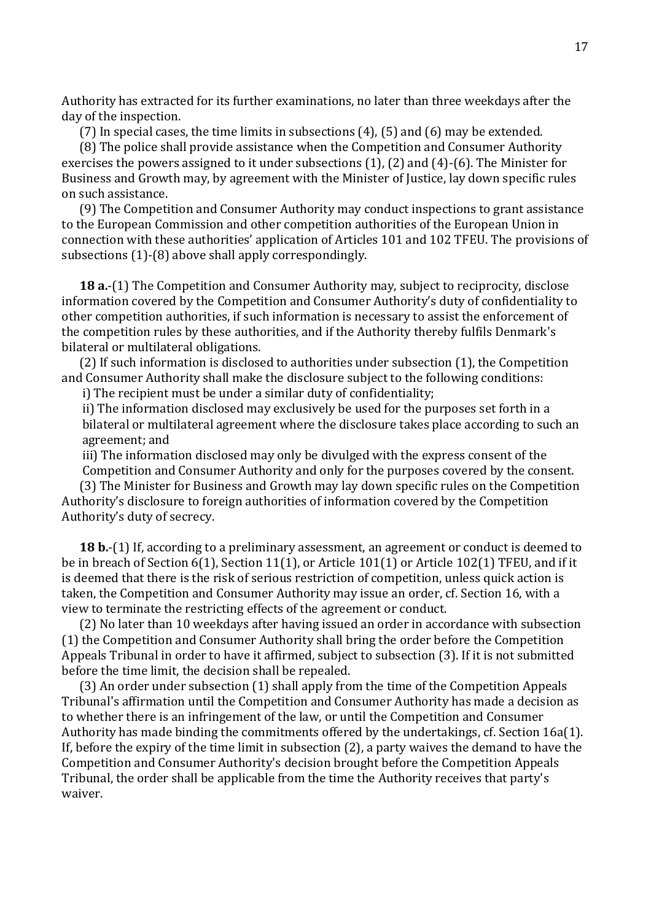Authority has extracted for its further examinations, no later than three weekdays after the day of the inspection.

(7) In special cases, the time limits in subsections (4), (5) and (6) may be extended.

(8) The police shall provide assistance when the Competition and Consumer Authority exercises the powers assigned to it under subsections (1), (2) and (4)-(6). The Minister for Business and Growth may, by agreement with the Minister of Justice, lay down specific rules on such assistance.

(9) The Competition and Consumer Authority may conduct inspections to grant assistance to the European Commission and other competition authorities of the European Union in connection with these authorities' application of Articles 101 and 102 TFEU. The provisions of subsections (1)-(8) above shall apply correspondingly.

**18 a.**-(1) The Competition and Consumer Authority may, subject to reciprocity, disclose information covered by the Competition and Consumer Authority's duty of confidentiality to other competition authorities, if such information is necessary to assist the enforcement of the competition rules by these authorities, and if the Authority thereby fulfils Denmark's bilateral or multilateral obligations.

(2) If such information is disclosed to authorities under subsection (1), the Competition and Consumer Authority shall make the disclosure subject to the following conditions:

i) The recipient must be under a similar duty of confidentiality;

ii) The information disclosed may exclusively be used for the purposes set forth in a bilateral or multilateral agreement where the disclosure takes place according to such an agreement; and

iii) The information disclosed may only be divulged with the express consent of the Competition and Consumer Authority and only for the purposes covered by the consent.

(3) The Minister for Business and Growth may lay down specific rules on the Competition Authority's disclosure to foreign authorities of information covered by the Competition Authority's duty of secrecy.

**18 b.**-(1) If, according to a preliminary assessment, an agreement or conduct is deemed to be in breach of Section 6(1), Section 11(1), or Article 101(1) or Article 102(1) TFEU, and if it is deemed that there is the risk of serious restriction of competition, unless quick action is taken, the Competition and Consumer Authority may issue an order, cf. Section 16, with a view to terminate the restricting effects of the agreement or conduct.

(2) No later than 10 weekdays after having issued an order in accordance with subsection (1) the Competition and Consumer Authority shall bring the order before the Competition Appeals Tribunal in order to have it affirmed, subject to subsection (3). If it is not submitted before the time limit, the decision shall be repealed.

(3) An order under subsection (1) shall apply from the time of the Competition Appeals Tribunal's affirmation until the Competition and Consumer Authority has made a decision as to whether there is an infringement of the law, or until the Competition and Consumer Authority has made binding the commitments offered by the undertakings, cf. Section 16a(1). If, before the expiry of the time limit in subsection (2), a party waives the demand to have the Competition and Consumer Authority's decision brought before the Competition Appeals Tribunal, the order shall be applicable from the time the Authority receives that party's waiver.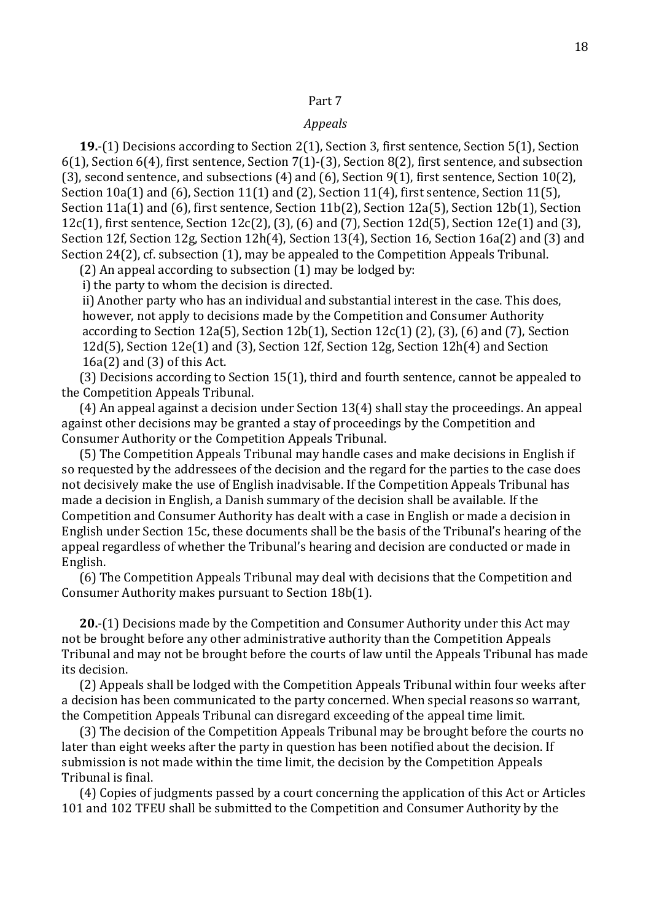### *Appeals*

**19.**-(1) Decisions according to Section 2(1), Section 3, first sentence, Section 5(1), Section 6(1), Section 6(4), first sentence, Section 7(1)-(3), Section 8(2), first sentence, and subsection (3), second sentence, and subsections (4) and (6), Section 9(1), first sentence, Section 10(2), Section 10a(1) and (6), Section 11(1) and (2), Section 11(4), first sentence, Section 11(5), Section 11a(1) and (6), first sentence, Section 11b(2), Section 12a(5), Section 12b(1), Section 12c(1), first sentence, Section 12c(2), (3), (6) and (7), Section 12d(5), Section 12e(1) and (3), Section 12f, Section 12g, Section 12h(4), Section 13(4), Section 16, Section 16a(2) and (3) and Section 24(2), cf. subsection (1), may be appealed to the Competition Appeals Tribunal.

(2) An appeal according to subsection (1) may be lodged by:

i) the party to whom the decision is directed.

ii) Another party who has an individual and substantial interest in the case. This does, however, not apply to decisions made by the Competition and Consumer Authority according to Section 12a(5), Section 12b(1), Section 12c(1) (2), (3), (6) and (7), Section 12d(5), Section 12e(1) and (3), Section 12f, Section 12g, Section 12h(4) and Section 16a(2) and (3) of this Act.

(3) Decisions according to Section 15(1), third and fourth sentence, cannot be appealed to the Competition Appeals Tribunal.

(4) An appeal against a decision under Section 13(4) shall stay the proceedings. An appeal against other decisions may be granted a stay of proceedings by the Competition and Consumer Authority or the Competition Appeals Tribunal.

(5) The Competition Appeals Tribunal may handle cases and make decisions in English if so requested by the addressees of the decision and the regard for the parties to the case does not decisively make the use of English inadvisable. If the Competition Appeals Tribunal has made a decision in English, a Danish summary of the decision shall be available. If the Competition and Consumer Authority has dealt with a case in English or made a decision in English under Section 15c, these documents shall be the basis of the Tribunal's hearing of the appeal regardless of whether the Tribunal's hearing and decision are conducted or made in English.

(6) The Competition Appeals Tribunal may deal with decisions that the Competition and Consumer Authority makes pursuant to Section 18b(1).

**20.**-(1) Decisions made by the Competition and Consumer Authority under this Act may not be brought before any other administrative authority than the Competition Appeals Tribunal and may not be brought before the courts of law until the Appeals Tribunal has made its decision.

(2) Appeals shall be lodged with the Competition Appeals Tribunal within four weeks after a decision has been communicated to the party concerned. When special reasons so warrant, the Competition Appeals Tribunal can disregard exceeding of the appeal time limit.

(3) The decision of the Competition Appeals Tribunal may be brought before the courts no later than eight weeks after the party in question has been notified about the decision. If submission is not made within the time limit, the decision by the Competition Appeals Tribunal is final.

(4) Copies of judgments passed by a court concerning the application of this Act or Articles 101 and 102 TFEU shall be submitted to the Competition and Consumer Authority by the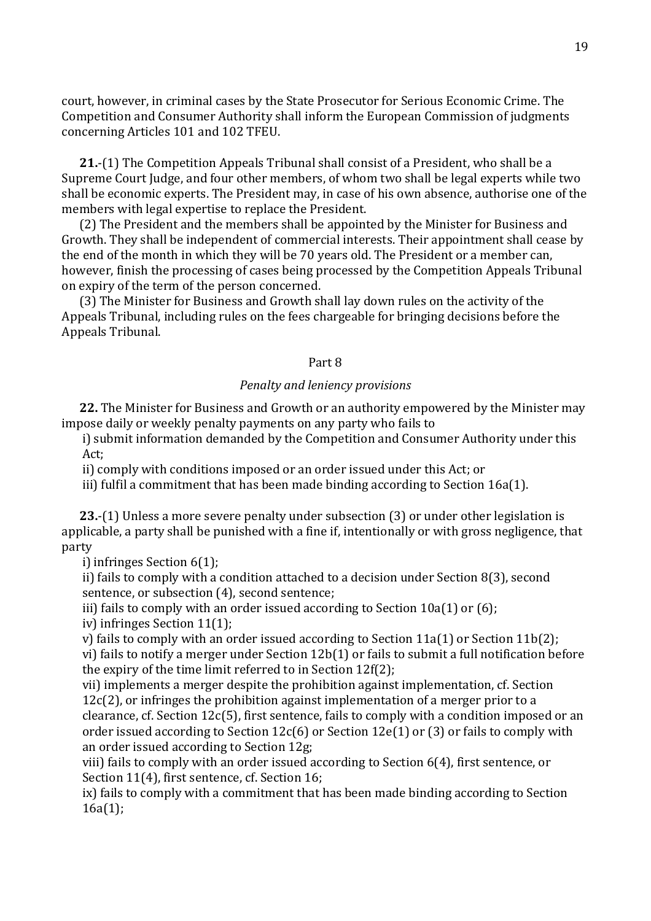court, however, in criminal cases by the State Prosecutor for Serious Economic Crime. The Competition and Consumer Authority shall inform the European Commission of judgments concerning Articles 101 and 102 TFEU.

**21.**-(1) The Competition Appeals Tribunal shall consist of a President, who shall be a Supreme Court Judge, and four other members, of whom two shall be legal experts while two shall be economic experts. The President may, in case of his own absence, authorise one of the members with legal expertise to replace the President.

(2) The President and the members shall be appointed by the Minister for Business and Growth. They shall be independent of commercial interests. Their appointment shall cease by the end of the month in which they will be 70 years old. The President or a member can, however, finish the processing of cases being processed by the Competition Appeals Tribunal on expiry of the term of the person concerned.

(3) The Minister for Business and Growth shall lay down rules on the activity of the Appeals Tribunal, including rules on the fees chargeable for bringing decisions before the Appeals Tribunal.

### Part 8

# *Penalty and leniency provisions*

**22.** The Minister for Business and Growth or an authority empowered by the Minister may impose daily or weekly penalty payments on any party who fails to

i) submit information demanded by the Competition and Consumer Authority under this Act;

ii) comply with conditions imposed or an order issued under this Act; or

iii) fulfil a commitment that has been made binding according to Section 16a(1).

**23.**-(1) Unless a more severe penalty under subsection (3) or under other legislation is applicable, a party shall be punished with a fine if, intentionally or with gross negligence, that party

i) infringes Section 6(1);

ii) fails to comply with a condition attached to a decision under Section 8(3), second sentence, or subsection (4), second sentence;

iii) fails to comply with an order issued according to Section 10a(1) or (6);

iv) infringes Section 11(1);

v) fails to comply with an order issued according to Section 11a(1) or Section 11b(2); vi) fails to notify a merger under Section 12b(1) or fails to submit a full notification before the expiry of the time limit referred to in Section 12f(2);

vii) implements a merger despite the prohibition against implementation, cf. Section 12c(2), or infringes the prohibition against implementation of a merger prior to a clearance, cf. Section 12c(5), first sentence, fails to comply with a condition imposed or an order issued according to Section 12c(6) or Section 12e(1) or (3) or fails to comply with an order issued according to Section 12g;

viii) fails to comply with an order issued according to Section 6(4), first sentence, or Section 11(4), first sentence, cf. Section 16;

ix) fails to comply with a commitment that has been made binding according to Section 16a(1);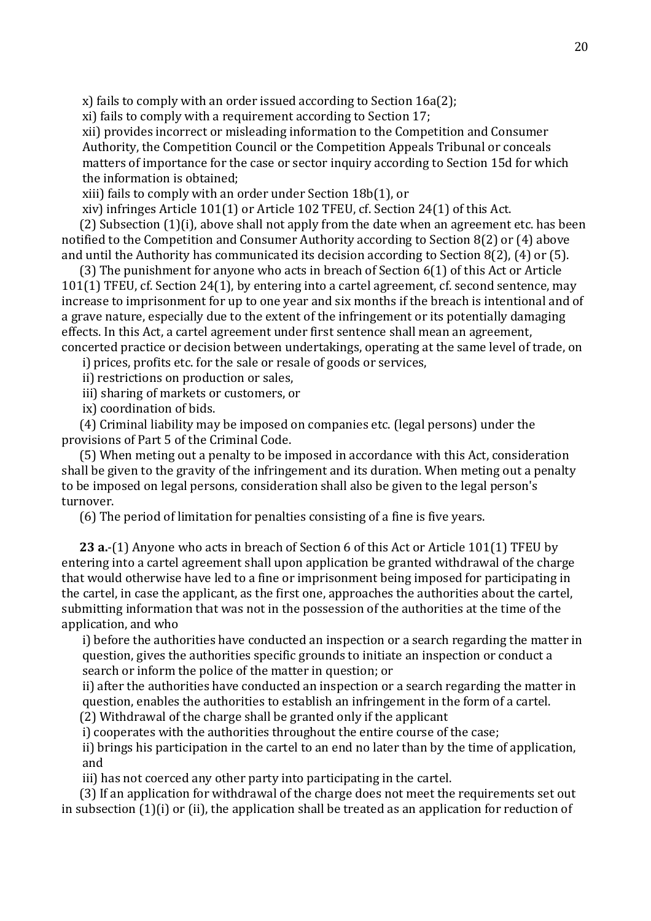x) fails to comply with an order issued according to Section 16a(2);

xi) fails to comply with a requirement according to Section 17;

xii) provides incorrect or misleading information to the Competition and Consumer Authority, the Competition Council or the Competition Appeals Tribunal or conceals matters of importance for the case or sector inquiry according to Section 15d for which the information is obtained;

xiii) fails to comply with an order under Section 18b(1), or

xiv) infringes Article 101(1) or Article 102 TFEU, cf. Section 24(1) of this Act.

(2) Subsection (1)(i), above shall not apply from the date when an agreement etc. has been notified to the Competition and Consumer Authority according to Section 8(2) or (4) above and until the Authority has communicated its decision according to Section 8(2), (4) or (5).

(3) The punishment for anyone who acts in breach of Section 6(1) of this Act or Article 101(1) TFEU, cf. Section 24(1), by entering into a cartel agreement, cf. second sentence, may increase to imprisonment for up to one year and six months if the breach is intentional and of a grave nature, especially due to the extent of the infringement or its potentially damaging effects. In this Act, a cartel agreement under first sentence shall mean an agreement, concerted practice or decision between undertakings, operating at the same level of trade, on

i) prices, profits etc. for the sale or resale of goods or services,

ii) restrictions on production or sales,

iii) sharing of markets or customers, or

ix) coordination of bids.

(4) Criminal liability may be imposed on companies etc. (legal persons) under the provisions of Part 5 of the Criminal Code.

(5) When meting out a penalty to be imposed in accordance with this Act, consideration shall be given to the gravity of the infringement and its duration. When meting out a penalty to be imposed on legal persons, consideration shall also be given to the legal person's turnover.

(6) The period of limitation for penalties consisting of a fine is five years.

**23 a.**-(1) Anyone who acts in breach of Section 6 of this Act or Article 101(1) TFEU by entering into a cartel agreement shall upon application be granted withdrawal of the charge that would otherwise have led to a fine or imprisonment being imposed for participating in the cartel, in case the applicant, as the first one, approaches the authorities about the cartel, submitting information that was not in the possession of the authorities at the time of the application, and who

i) before the authorities have conducted an inspection or a search regarding the matter in question, gives the authorities specific grounds to initiate an inspection or conduct a search or inform the police of the matter in question; or

ii) after the authorities have conducted an inspection or a search regarding the matter in question, enables the authorities to establish an infringement in the form of a cartel.

(2) Withdrawal of the charge shall be granted only if the applicant

i) cooperates with the authorities throughout the entire course of the case;

ii) brings his participation in the cartel to an end no later than by the time of application, and

iii) has not coerced any other party into participating in the cartel.

(3) If an application for withdrawal of the charge does not meet the requirements set out in subsection (1)(i) or (ii), the application shall be treated as an application for reduction of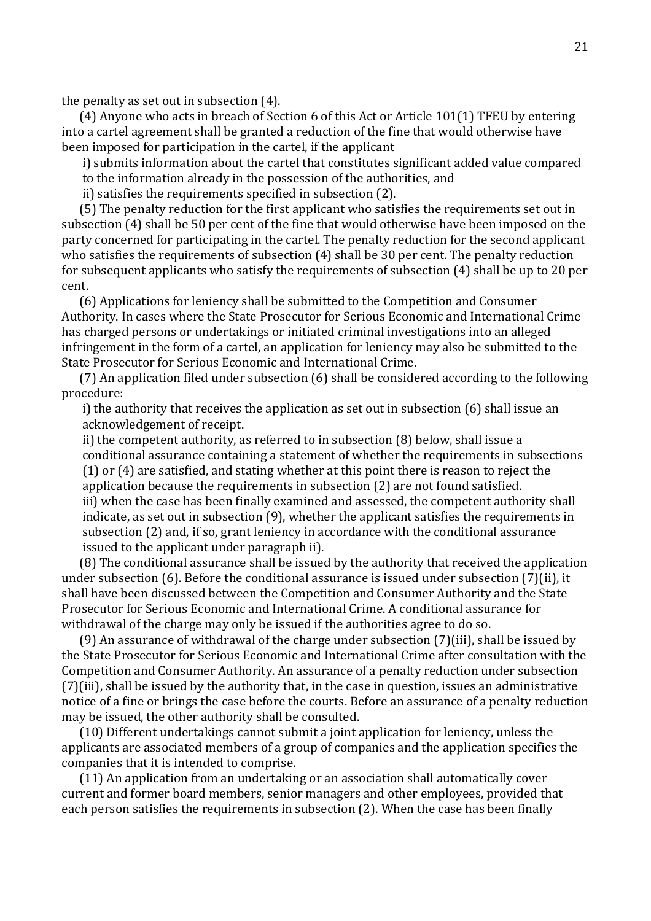the penalty as set out in subsection (4).

(4) Anyone who acts in breach of Section 6 of this Act or Article 101(1) TFEU by entering into a cartel agreement shall be granted a reduction of the fine that would otherwise have been imposed for participation in the cartel, if the applicant

i) submits information about the cartel that constitutes significant added value compared to the information already in the possession of the authorities, and

ii) satisfies the requirements specified in subsection (2).

(5) The penalty reduction for the first applicant who satisfies the requirements set out in subsection (4) shall be 50 per cent of the fine that would otherwise have been imposed on the party concerned for participating in the cartel. The penalty reduction for the second applicant who satisfies the requirements of subsection (4) shall be 30 per cent. The penalty reduction for subsequent applicants who satisfy the requirements of subsection (4) shall be up to 20 per cent.

(6) Applications for leniency shall be submitted to the Competition and Consumer Authority. In cases where the State Prosecutor for Serious Economic and International Crime has charged persons or undertakings or initiated criminal investigations into an alleged infringement in the form of a cartel, an application for leniency may also be submitted to the State Prosecutor for Serious Economic and International Crime.

(7) An application filed under subsection (6) shall be considered according to the following procedure:

i) the authority that receives the application as set out in subsection (6) shall issue an acknowledgement of receipt.

ii) the competent authority, as referred to in subsection (8) below, shall issue a conditional assurance containing a statement of whether the requirements in subsections (1) or (4) are satisfied, and stating whether at this point there is reason to reject the application because the requirements in subsection (2) are not found satisfied. iii) when the case has been finally examined and assessed, the competent authority shall indicate, as set out in subsection (9), whether the applicant satisfies the requirements in subsection (2) and, if so, grant leniency in accordance with the conditional assurance issued to the applicant under paragraph ii).

(8) The conditional assurance shall be issued by the authority that received the application under subsection (6). Before the conditional assurance is issued under subsection (7)(ii), it shall have been discussed between the Competition and Consumer Authority and the State Prosecutor for Serious Economic and International Crime. A conditional assurance for withdrawal of the charge may only be issued if the authorities agree to do so.

(9) An assurance of withdrawal of the charge under subsection (7)(iii), shall be issued by the State Prosecutor for Serious Economic and International Crime after consultation with the Competition and Consumer Authority. An assurance of a penalty reduction under subsection (7)(iii), shall be issued by the authority that, in the case in question, issues an administrative notice of a fine or brings the case before the courts. Before an assurance of a penalty reduction may be issued, the other authority shall be consulted.

(10) Different undertakings cannot submit a joint application for leniency, unless the applicants are associated members of a group of companies and the application specifies the companies that it is intended to comprise.

(11) An application from an undertaking or an association shall automatically cover current and former board members, senior managers and other employees, provided that each person satisfies the requirements in subsection (2). When the case has been finally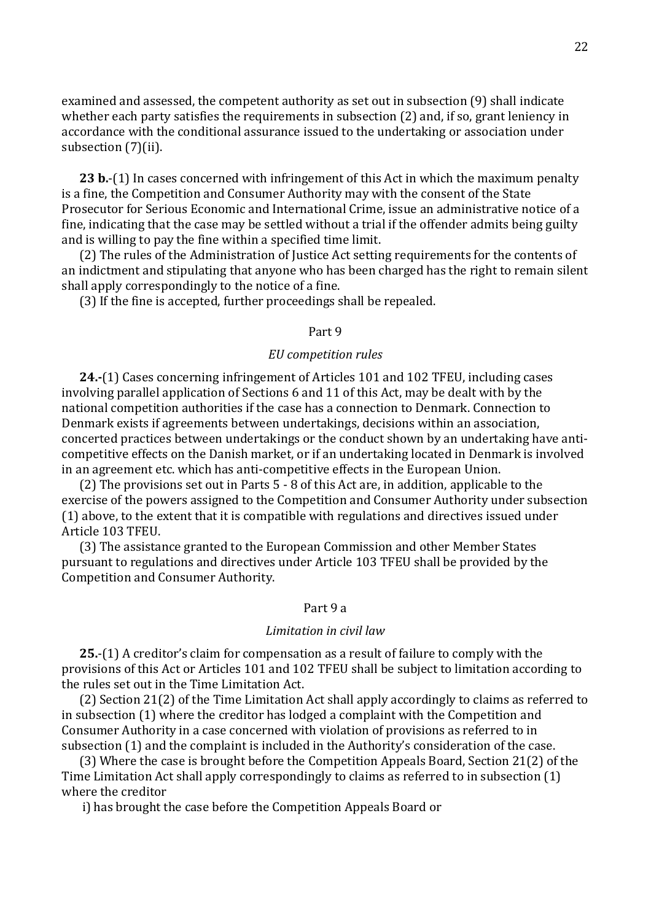examined and assessed, the competent authority as set out in subsection (9) shall indicate whether each party satisfies the requirements in subsection (2) and, if so, grant leniency in accordance with the conditional assurance issued to the undertaking or association under subsection (7)(ii).

**23 b.**-(1) In cases concerned with infringement of this Act in which the maximum penalty is a fine, the Competition and Consumer Authority may with the consent of the State Prosecutor for Serious Economic and International Crime, issue an administrative notice of a fine, indicating that the case may be settled without a trial if the offender admits being guilty and is willing to pay the fine within a specified time limit.

(2) The rules of the Administration of Justice Act setting requirements for the contents of an indictment and stipulating that anyone who has been charged has the right to remain silent shall apply correspondingly to the notice of a fine.

(3) If the fine is accepted, further proceedings shall be repealed.

### Part 9

# *EU competition rules*

**24.-**(1) Cases concerning infringement of Articles 101 and 102 TFEU, including cases involving parallel application of Sections 6 and 11 of this Act, may be dealt with by the national competition authorities if the case has a connection to Denmark. Connection to Denmark exists if agreements between undertakings, decisions within an association, concerted practices between undertakings or the conduct shown by an undertaking have anticompetitive effects on the Danish market, or if an undertaking located in Denmark is involved in an agreement etc. which has anti-competitive effects in the European Union.

(2) The provisions set out in Parts 5 - 8 of this Act are, in addition, applicable to the exercise of the powers assigned to the Competition and Consumer Authority under subsection (1) above, to the extent that it is compatible with regulations and directives issued under Article 103 TFEU.

(3) The assistance granted to the European Commission and other Member States pursuant to regulations and directives under Article 103 TFEU shall be provided by the Competition and Consumer Authority.

## Part 9 a

### *Limitation in civil law*

**25.**-(1) A creditor's claim for compensation as a result of failure to comply with the provisions of this Act or Articles 101 and 102 TFEU shall be subject to limitation according to the rules set out in the Time Limitation Act.

(2) Section 21(2) of the Time Limitation Act shall apply accordingly to claims as referred to in subsection (1) where the creditor has lodged a complaint with the Competition and Consumer Authority in a case concerned with violation of provisions as referred to in subsection (1) and the complaint is included in the Authority's consideration of the case.

(3) Where the case is brought before the Competition Appeals Board, Section 21(2) of the Time Limitation Act shall apply correspondingly to claims as referred to in subsection (1) where the creditor

i) has brought the case before the Competition Appeals Board or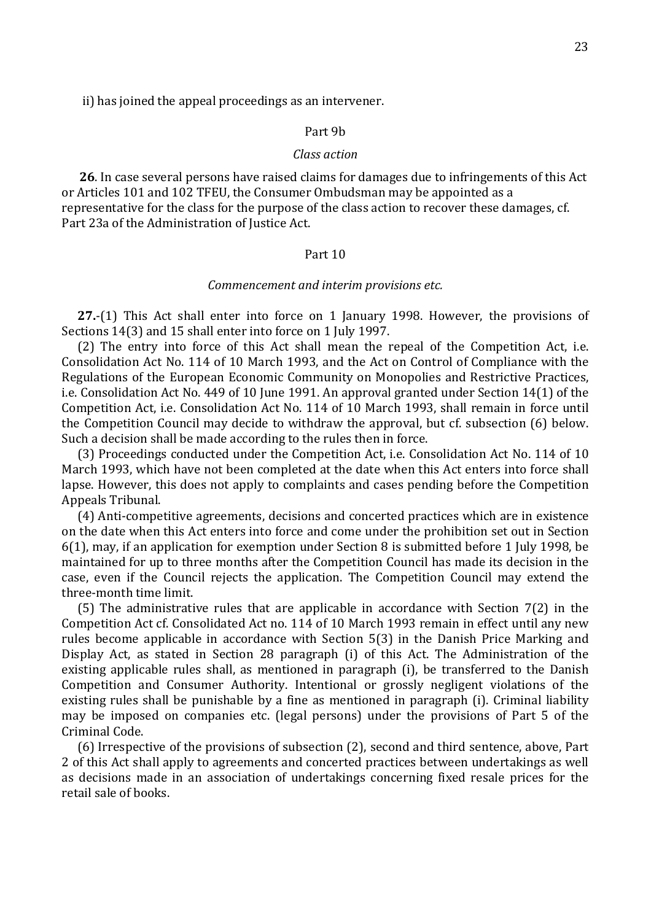ii) has joined the appeal proceedings as an intervener.

#### Part 9b

### *Class action*

**26**. In case several persons have raised claims for damages due to infringements of this Act or Articles 101 and 102 TFEU, the Consumer Ombudsman may be appointed as a representative for the class for the purpose of the class action to recover these damages, cf. Part 23a of the Administration of Justice Act.

#### Part 10

#### *Commencement and interim provisions etc.*

**27.**-(1) This Act shall enter into force on 1 January 1998. However, the provisions of Sections 14(3) and 15 shall enter into force on 1 July 1997.

(2) The entry into force of this Act shall mean the repeal of the Competition Act, i.e. Consolidation Act No. 114 of 10 March 1993, and the Act on Control of Compliance with the Regulations of the European Economic Community on Monopolies and Restrictive Practices, i.e. Consolidation Act No. 449 of 10 June 1991. An approval granted under Section 14(1) of the Competition Act, i.e. Consolidation Act No. 114 of 10 March 1993, shall remain in force until the Competition Council may decide to withdraw the approval, but cf. subsection (6) below. Such a decision shall be made according to the rules then in force.

(3) Proceedings conducted under the Competition Act, i.e. Consolidation Act No. 114 of 10 March 1993, which have not been completed at the date when this Act enters into force shall lapse. However, this does not apply to complaints and cases pending before the Competition Appeals Tribunal.

(4) Anti-competitive agreements, decisions and concerted practices which are in existence on the date when this Act enters into force and come under the prohibition set out in Section 6(1), may, if an application for exemption under Section 8 is submitted before 1 July 1998, be maintained for up to three months after the Competition Council has made its decision in the case, even if the Council rejects the application. The Competition Council may extend the three-month time limit.

(5) The administrative rules that are applicable in accordance with Section 7(2) in the Competition Act cf. Consolidated Act no. 114 of 10 March 1993 remain in effect until any new rules become applicable in accordance with Section 5(3) in the Danish Price Marking and Display Act, as stated in Section 28 paragraph (i) of this Act. The Administration of the existing applicable rules shall, as mentioned in paragraph (i), be transferred to the Danish Competition and Consumer Authority. Intentional or grossly negligent violations of the existing rules shall be punishable by a fine as mentioned in paragraph (i). Criminal liability may be imposed on companies etc. (legal persons) under the provisions of Part 5 of the Criminal Code.

(6) Irrespective of the provisions of subsection (2), second and third sentence, above, Part 2 of this Act shall apply to agreements and concerted practices between undertakings as well as decisions made in an association of undertakings concerning fixed resale prices for the retail sale of books.